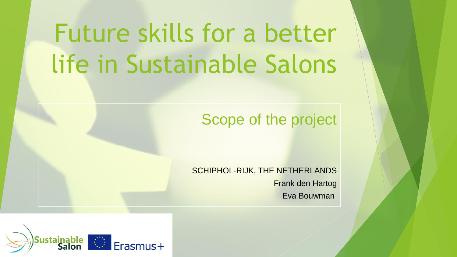## Future skills for a better life in Sustainable Salons

#### Scope of the project

SCHIPHOL-RIJK, THE NETHERLANDS Frank den Hartog Eva Bouwman

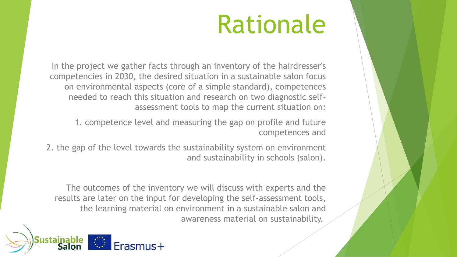#### Rationale

In the project we gather facts through an inventory of the hairdresser's competencies in 2030, the desired situation in a sustainable salon focus on environmental aspects (core of a simple standard), competences needed to reach this situation and research on two diagnostic selfassessment tools to map the current situation on:

1. competence level and measuring the gap on profile and future competences and

2. the gap of the level towards the sustainability system on environment and sustainability in schools (salon).

The outcomes of the inventory we will discuss with experts and the results are later on the input for developing the self-assessment tools, the learning material on environment in a sustainable salon and awareness material on sustainability.

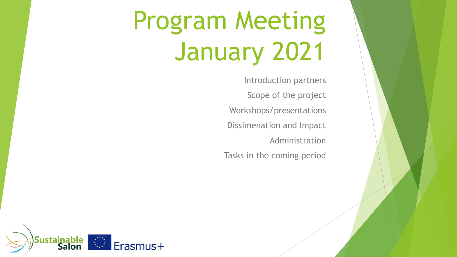## Program Meeting January 2021

Introduction partners Scope of the project Workshops/presentations Dissimenation and Impact Administration Tasks in the coming period

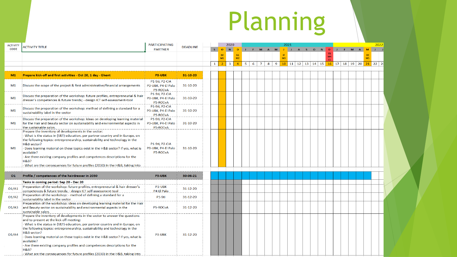# Planning

| ACTIVIT        |                                                                                                                        | <b>PARTICIPATING</b>                 |                 |  |               |                | 2020 | 2021           |                |   |                |   |                |                |      |   |    |          |                                      |                      |     | 2022 |   |                           |         |
|----------------|------------------------------------------------------------------------------------------------------------------------|--------------------------------------|-----------------|--|---------------|----------------|------|----------------|----------------|---|----------------|---|----------------|----------------|------|---|----|----------|--------------------------------------|----------------------|-----|------|---|---------------------------|---------|
| <b>CODE</b>    | <b>ACTIVITY TITLE</b>                                                                                                  | <b>PARTNER</b>                       | <b>DEADLINE</b> |  | $S^{\dagger}$ | $\overline{O}$ | N    | $\overline{D}$ | $\mathbf{J}$   |   | F M            |   | $A$ $M$        |                | - 11 | A | S. | $\Omega$ | N D                                  |                      | -11 | .F.  | M | M<br>$\overline{A}$       | $1 - 1$ |
|                |                                                                                                                        |                                      |                 |  |               | <b>BE</b>      |      | <b>NL</b>      |                |   |                |   |                |                |      |   |    |          |                                      |                      |     |      |   |                           |         |
|                |                                                                                                                        |                                      |                 |  |               | M1             |      | M <sub>2</sub> |                |   |                |   |                | M <sub>3</sub> |      |   |    |          |                                      | M <sub>4</sub><br>F1 |     |      |   | M <sub>5</sub>            |         |
|                |                                                                                                                        |                                      |                 |  | $\mathbf{1}$  | $\mathcal{P}$  | 3    | $\overline{4}$ | 5 <sup>1</sup> | 6 | $\overline{7}$ | 8 | $\overline{9}$ | 10             |      |   |    |          | $11 \mid 12 \mid 13 \mid 14 \mid 15$ |                      |     |      |   | $16$ 17 18 19 20 21 22 23 |         |
|                |                                                                                                                        |                                      |                 |  |               |                |      |                |                |   |                |   |                |                |      |   |    |          |                                      |                      |     |      |   |                           |         |
| M1             | Prepare kick-off and first activities - Oct 20, 1 day - Ghent                                                          | P3-UBK                               | 31-10-20        |  |               |                |      |                |                |   |                |   |                |                |      |   |    |          |                                      |                      |     |      |   |                           |         |
|                |                                                                                                                        | P1-Sti, P2-CIA                       |                 |  |               |                |      |                |                |   |                |   |                |                |      |   |    |          |                                      |                      |     |      |   |                           |         |
| M1             | Discuss the scope of the project & first administrative/financial arrangements                                         | P3-UBK, P4-El Palo                   | $31 - 10 - 20$  |  |               |                |      |                |                |   |                |   |                |                |      |   |    |          |                                      |                      |     |      |   |                           |         |
|                |                                                                                                                        | P5-ROCvA                             |                 |  |               |                |      |                |                |   |                |   |                |                |      |   |    |          |                                      |                      |     |      |   |                           |         |
|                | Discuss the preparation of the workshop: future profiles, entrepreneurial & hair                                       | P1-Sti, P2-CIA                       |                 |  |               |                |      |                |                |   |                |   |                |                |      |   |    |          |                                      |                      |     |      |   |                           |         |
| M1             | dresser's competences & future trends; - design ICT self-assessment-tool                                               | P3-UBK, P4-El Palo                   | 31-10-20        |  |               |                |      |                |                |   |                |   |                |                |      |   |    |          |                                      |                      |     |      |   |                           |         |
|                |                                                                                                                        | P5-ROCvA                             |                 |  |               |                |      |                |                |   |                |   |                |                |      |   |    |          |                                      |                      |     |      |   |                           |         |
| M <sub>1</sub> | Discuss the preparation of the workshop: method of defining a standard for a                                           | P1-Sti, P2-CIA<br>P3-UBK, P4-El Palo | $31 - 10 - 20$  |  |               |                |      |                |                |   |                |   |                |                |      |   |    |          |                                      |                      |     |      |   |                           |         |
|                | sustainability label in the sector                                                                                     | P5-ROCvA                             |                 |  |               |                |      |                |                |   |                |   |                |                |      |   |    |          |                                      |                      |     |      |   |                           |         |
|                | Discuss the preparation of the workshop: ideas on developing learning material                                         | P1-Sti, P2-CIA                       |                 |  |               |                |      |                |                |   |                |   |                |                |      |   |    |          |                                      |                      |     |      |   |                           |         |
| M1             | for the Hair and Beauty sector on sustainability and environmental aspects in                                          | P3-UBK, P4-El Palo                   | $31 - 10 - 20$  |  |               |                |      |                |                |   |                |   |                |                |      |   |    |          |                                      |                      |     |      |   |                           |         |
|                | the sustainable salon.                                                                                                 | P5-ROCvA                             |                 |  |               |                |      |                |                |   |                |   |                |                |      |   |    |          |                                      |                      |     |      |   |                           |         |
|                | Prepare the inventory of developments in the sector:                                                                   |                                      |                 |  |               |                |      |                |                |   |                |   |                |                |      |   |    |          |                                      |                      |     |      |   |                           |         |
|                | - What is the status in (VET) education, per partner country and in Europe, on                                         |                                      |                 |  |               |                |      |                |                |   |                |   |                |                |      |   |    |          |                                      |                      |     |      |   |                           |         |
|                | the following topics: entrepreneurship, sustainability and technology in the                                           |                                      |                 |  |               |                |      |                |                |   |                |   |                |                |      |   |    |          |                                      |                      |     |      |   |                           |         |
|                | H&B sector?                                                                                                            | P1-Sti, P2-CIA                       |                 |  |               |                |      |                |                |   |                |   |                |                |      |   |    |          |                                      |                      |     |      |   |                           |         |
| M1             | - Does learning material on these topics exist in the H&B sector? If yes, what is                                      | P3-UBK, P4-El Palo                   | $31 - 10 - 20$  |  |               |                |      |                |                |   |                |   |                |                |      |   |    |          |                                      |                      |     |      |   |                           |         |
|                | available?                                                                                                             | P5-ROCvA                             |                 |  |               |                |      |                |                |   |                |   |                |                |      |   |    |          |                                      |                      |     |      |   |                           |         |
|                | - Are there existing company profiles and competences descriptions for the<br><b>H&amp;B?</b>                          |                                      |                 |  |               |                |      |                |                |   |                |   |                |                |      |   |    |          |                                      |                      |     |      |   |                           |         |
|                | - What are the consequences for future profiles (2030) in the H&B, taking into                                         |                                      |                 |  |               |                |      |                |                |   |                |   |                |                |      |   |    |          |                                      |                      |     |      |   |                           |         |
|                |                                                                                                                        |                                      |                 |  |               |                |      |                |                |   |                |   |                |                |      |   |    |          |                                      |                      |     |      |   |                           |         |
| 01             | Profile / competences of the hairdresser in 2030                                                                       | P3-UBK                               | 30-06-21        |  |               |                |      |                |                |   |                |   |                |                |      |   |    |          |                                      |                      |     |      |   |                           |         |
|                | Tasks in coming period: Sep 20 - Dec 20                                                                                |                                      |                 |  |               |                |      |                |                |   |                |   |                |                |      |   |    |          |                                      |                      |     |      |   |                           |         |
|                | Preparation of the workshop: future profiles, entrepreneurial & hair dresser's                                         | P3-UBK                               |                 |  |               |                |      |                |                |   |                |   |                |                |      |   |    |          |                                      |                      |     |      |   |                           |         |
| O1/A1          | competences & future trends; - design ICT self-assessment-tool                                                         | P4-El Palo                           | $31 - 12 - 20$  |  |               |                |      |                |                |   |                |   |                |                |      |   |    |          |                                      |                      |     |      |   |                           |         |
| O1/A2          | Preparation of the workshop: - method of defining a standard for a                                                     | P <sub>1</sub> -Sti                  | $31 - 12 - 20$  |  |               |                |      |                |                |   |                |   |                |                |      |   |    |          |                                      |                      |     |      |   |                           |         |
|                | sustainability label in the sector                                                                                     |                                      |                 |  |               |                |      |                |                |   |                |   |                |                |      |   |    |          |                                      |                      |     |      |   |                           |         |
|                | Preparation of the workshop: ideas on developing learning material for the Hair                                        |                                      |                 |  |               |                |      |                |                |   |                |   |                |                |      |   |    |          |                                      |                      |     |      |   |                           |         |
| O1/A3          | land Beauty sector on sustainability and environmental aspects in the                                                  | P5-ROCvA                             | $31 - 12 - 20$  |  |               |                |      |                |                |   |                |   |                |                |      |   |    |          |                                      |                      |     |      |   |                           |         |
|                | sustainable salon.                                                                                                     |                                      |                 |  |               |                |      |                |                |   |                |   |                |                |      |   |    |          |                                      |                      |     |      |   |                           |         |
|                | Prepare the inventory of developments in the sector to answer the questions<br>and to present at the kick off meeting: |                                      |                 |  |               |                |      |                |                |   |                |   |                |                |      |   |    |          |                                      |                      |     |      |   |                           |         |
|                | - What is the status in (VET) education, per partner country and in Europe, on                                         | P3-UBK                               |                 |  |               |                |      |                |                |   |                |   |                |                |      |   |    |          |                                      |                      |     |      |   |                           |         |
|                | the following topics: entrepreneurship, sustainability and technology in the                                           |                                      |                 |  |               |                |      |                |                |   |                |   |                |                |      |   |    |          |                                      |                      |     |      |   |                           |         |
|                | H&B sector?                                                                                                            |                                      |                 |  |               |                |      |                |                |   |                |   |                |                |      |   |    |          |                                      |                      |     |      |   |                           |         |
| O1/A4          | - Does learning material on these topics exist in the H&B sector? If yes, what is                                      |                                      | $31 - 12 - 20$  |  |               |                |      |                |                |   |                |   |                |                |      |   |    |          |                                      |                      |     |      |   |                           |         |
|                | available?                                                                                                             |                                      |                 |  |               |                |      |                |                |   |                |   |                |                |      |   |    |          |                                      |                      |     |      |   |                           |         |
|                | - Are there existing company profiles and competences descriptions for the                                             |                                      |                 |  |               |                |      |                |                |   |                |   |                |                |      |   |    |          |                                      |                      |     |      |   |                           |         |
|                | <b>H&amp;B?</b>                                                                                                        |                                      |                 |  |               |                |      |                |                |   |                |   |                |                |      |   |    |          |                                      |                      |     |      |   |                           |         |
|                | - What are the consequences for future profiles (2030) in the H&B, taking into                                         |                                      |                 |  |               |                |      |                |                |   |                |   |                |                |      |   |    |          |                                      |                      |     |      |   |                           |         |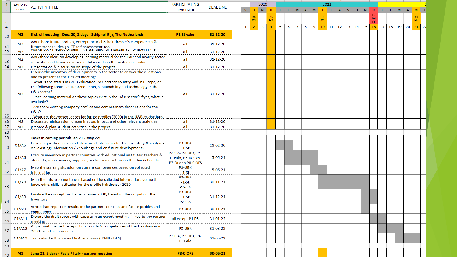|                | <b>ACTIVITY</b> | <b>ACTIVITY TITLE</b>                                                                                                                                                                                                                                                                                                                                                                                                        | <b>PARTICIPATING</b>                                                                   | <b>DEADLINE</b> |   |                | 2020                    |                |   |                     |     |        |                | 2021 |  |         |   |                  |       |          |   |              |
|----------------|-----------------|------------------------------------------------------------------------------------------------------------------------------------------------------------------------------------------------------------------------------------------------------------------------------------------------------------------------------------------------------------------------------------------------------------------------------|----------------------------------------------------------------------------------------|-----------------|---|----------------|-------------------------|----------------|---|---------------------|-----|--------|----------------|------|--|---------|---|------------------|-------|----------|---|--------------|
|                | <b>CODE</b>     |                                                                                                                                                                                                                                                                                                                                                                                                                              | <b>PARTNER</b>                                                                         |                 | S | $\overline{O}$ | N                       | <b>D</b>       |   |                     | M A | M      |                |      |  | A S O N | D |                  | - F - | <b>M</b> | A | $M$ J        |
|                |                 |                                                                                                                                                                                                                                                                                                                                                                                                                              |                                                                                        |                 |   | <b>BE</b>      |                         |                |   |                     |     |        |                |      |  |         |   |                  |       |          |   |              |
| 3              |                 |                                                                                                                                                                                                                                                                                                                                                                                                                              |                                                                                        |                 |   | M1             |                         | M <sub>2</sub> |   |                     |     |        | M <sub>3</sub> |      |  |         |   |                  |       |          |   |              |
| $\overline{4}$ |                 |                                                                                                                                                                                                                                                                                                                                                                                                                              |                                                                                        |                 | 1 | $\overline{2}$ | $\overline{\mathbf{3}}$ | $\Delta$       | 5 | 6<br>$\overline{7}$ |     | 8<br>9 |                |      |  |         |   | $16$ 17 18 19 20 |       |          |   | $21 \mid 22$ |
| 20             | M <sub>2</sub>  | Kick-off meeting - Dec. 20, 2 days - Schiphol-Rijk, The Netherlands                                                                                                                                                                                                                                                                                                                                                          | P1-Stivako                                                                             | 31-12-20        |   |                |                         |                |   |                     |     |        |                |      |  |         |   |                  |       |          |   |              |
| 21             | M <sub>2</sub>  | workshop: future profiles, entrepreneurial & hair dresser's competences &<br>.<br>'future trends; - design ICT self-assessment-tool<br>¦พบกรรกบุว:- ก่ายดาบน บา นยกกกฎ a รงลักนิลกับ บา ส รับริเลกเลขากญาลอยกกา เกยา                                                                                                                                                                                                         | all                                                                                    | $31 - 12 - 20$  |   |                |                         |                |   |                     |     |        |                |      |  |         |   |                  |       |          |   |              |
| 22             | M <sub>2</sub>  |                                                                                                                                                                                                                                                                                                                                                                                                                              | all                                                                                    | $31 - 12 - 20$  |   |                |                         |                |   |                     |     |        |                |      |  |         |   |                  |       |          |   |              |
| 23             | M <sub>2</sub>  | workshop: ideas on developing learning material for the Hair and Beauty sector<br>on sustainability and environmental aspects in the sustainable salon.                                                                                                                                                                                                                                                                      | all                                                                                    | $31 - 12 - 20$  |   |                |                         |                |   |                     |     |        |                |      |  |         |   |                  |       |          |   |              |
| 24             | M <sub>2</sub>  | Presentation & discussion on scope of the project                                                                                                                                                                                                                                                                                                                                                                            | all                                                                                    | 31-12-20        |   |                |                         |                |   |                     |     |        |                |      |  |         |   |                  |       |          |   |              |
|                |                 | Discuss the inventory of developments in the sector to answer the questions                                                                                                                                                                                                                                                                                                                                                  |                                                                                        |                 |   |                |                         |                |   |                     |     |        |                |      |  |         |   |                  |       |          |   |              |
|                | M <sub>2</sub>  | and to present at the kick off meeting:<br>- What is the status in (VET) education, per partner country and in Europe, on<br>the following topics: entrepreneurship, sustainability and technology in the<br>H&B sector?<br>- Does learning material on these topics exist in the H&B sector? If yes, what is<br>available?<br>- Are there existing company profiles and competences descriptions for the<br><b>H&amp;B?</b> | all                                                                                    | 31-12-20        |   |                |                         |                |   |                     |     |        |                |      |  |         |   |                  |       |          |   |              |
| 25             |                 | What are the consequences for future profiles (2030) in the H&B, taking into                                                                                                                                                                                                                                                                                                                                                 |                                                                                        |                 |   |                |                         |                |   |                     |     |        |                |      |  |         |   |                  |       |          |   |              |
| 26             | M <sub>2</sub>  | 'Discuss administration, dissemination, impact and other relevant activities                                                                                                                                                                                                                                                                                                                                                 | all                                                                                    | 31-12-20        |   |                |                         |                |   |                     |     |        |                |      |  |         |   |                  |       |          |   |              |
| 27             | M2              | prepare & plan student activities in the project                                                                                                                                                                                                                                                                                                                                                                             | all                                                                                    | $31 - 12 - 20$  |   |                |                         |                |   |                     |     |        |                |      |  |         |   |                  |       |          |   |              |
| 28             |                 |                                                                                                                                                                                                                                                                                                                                                                                                                              |                                                                                        |                 |   |                |                         |                |   |                     |     |        |                |      |  |         |   |                  |       |          |   |              |
| 29             | 01/A5           | Tasks in coming period: Jan 21 - May 22:<br>Develop questionnaires and structured interviews for the inventory & analyses                                                                                                                                                                                                                                                                                                    | P3-UBK                                                                                 | 28-02-20        |   |                |                         |                |   |                     |     |        |                |      |  |         |   |                  |       |          |   |              |
| 30<br>31       | 01/A6           | on (existing) information / knowledge and on future developments<br>Execute inventory in partner countries with educational institutes: teachers &<br>students, salon owners, suppliers, sector organisations in the Hair & Beauty                                                                                                                                                                                           | P <sub>1</sub> -Sti<br>P2-CIA, P3-UBK, P4-<br>El Palo, P5-ROCvA,<br>P7-Ouden, P8-CIOFS | 15-05-21        |   |                |                         |                |   |                     |     |        |                |      |  |         |   |                  |       |          |   |              |
| 32             | O1/A7           | 'Map the starting situation on current competences based on collected<br>information                                                                                                                                                                                                                                                                                                                                         | P3-UBK<br>P <sub>1</sub> -Sti                                                          | 15-06-21        |   |                |                         |                |   |                     |     |        |                |      |  |         |   |                  |       |          |   |              |
| 33             | O1/AB           | Map the future competences based on the collected information; define the<br>knowledge, skills, attitudes for the profile hairdresser 2030                                                                                                                                                                                                                                                                                   | P3-UBK<br>P <sub>1</sub> -Sti<br>P <sub>2</sub> -CIA                                   | 30-11-21        |   |                |                         |                |   |                     |     |        |                |      |  |         |   |                  |       |          |   |              |
| 34             | O1/AB           | Finalise the concept profile hairdresser 2030, based on the outputs of the<br>inventory                                                                                                                                                                                                                                                                                                                                      | P3-UBK<br>P1-Sti<br>P <sub>2</sub> -CIA                                                | $31 - 12 - 21$  |   |                |                         |                |   |                     |     |        |                |      |  |         |   |                  |       |          |   |              |
| 35             | 01/A10          | Write draft report on results in the partner countries and future profiles and                                                                                                                                                                                                                                                                                                                                               | P3-UBK                                                                                 | 30-11-21        |   |                |                         |                |   |                     |     |        |                |      |  |         |   |                  |       |          |   |              |
| 36             | 01/A11          | Discuss the draft report with experts in an expert meeting, linked to the partner<br>meeting                                                                                                                                                                                                                                                                                                                                 | all except P1,P6                                                                       | 31-01-22        |   |                |                         |                |   |                     |     |        |                |      |  |         |   |                  |       |          |   |              |
| 37             | 01/A12          | Adjust and finalise the report on 'profile & competences of the Hairdresser in<br>2030 incl. developments'                                                                                                                                                                                                                                                                                                                   | P3-UBK                                                                                 | 31-03-22        |   |                |                         |                |   |                     |     |        |                |      |  |         |   |                  |       |          |   |              |
| 38             | 01/A13          | Translate the final report in 4 languages (EN-NL-IT-ES)                                                                                                                                                                                                                                                                                                                                                                      | P2-CIA, P3-UBK, P4-<br><b>EL Palo</b>                                                  | 31-05-22        |   |                |                         |                |   |                     |     |        |                |      |  |         |   |                  |       |          |   |              |
| 39             |                 |                                                                                                                                                                                                                                                                                                                                                                                                                              |                                                                                        |                 |   |                |                         |                |   |                     |     |        |                |      |  |         |   |                  |       |          |   |              |
| 40             | M <sub>3</sub>  | June 21, 2 days - Pavia / Italy - partner meeting                                                                                                                                                                                                                                                                                                                                                                            | <b>P8-CIOFS</b>                                                                        | 30-06-21        |   |                |                         |                |   |                     |     |        |                |      |  |         |   |                  |       |          |   |              |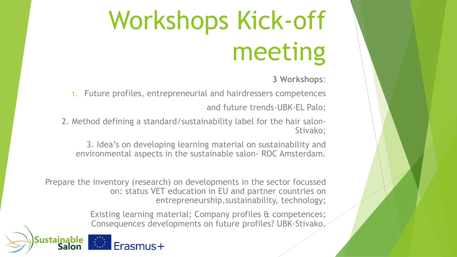# Workshops Kick-off meeting

**3 Workshops**:

1. Future profiles, entrepreneurial and hairdressers competences and future trends-UBK-EL Palo;

2. Method defining a standard/sustainability label for the hair salon-Stivako;

3. Idea's on developing learning material on sustainability and environmental aspects in the sustainable salon- ROC Amsterdam.

Prepare the inventory (research) on developments in the sector focussed on: status VET education in EU and partner countries on entrepreneurship,sustainability, technology;

> Existing learning material; Company profiles & competences; Consequences developments on future profiles? UBK-Stivako.